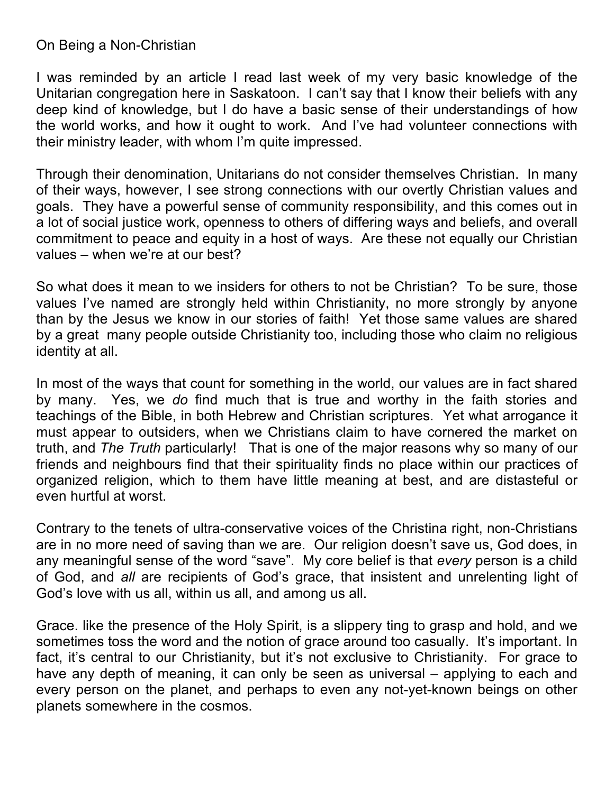## On Being a Non-Christian

I was reminded by an article I read last week of my very basic knowledge of the Unitarian congregation here in Saskatoon. I can't say that I know their beliefs with any deep kind of knowledge, but I do have a basic sense of their understandings of how the world works, and how it ought to work. And I've had volunteer connections with their ministry leader, with whom I'm quite impressed.

Through their denomination, Unitarians do not consider themselves Christian. In many of their ways, however, I see strong connections with our overtly Christian values and goals. They have a powerful sense of community responsibility, and this comes out in a lot of social justice work, openness to others of differing ways and beliefs, and overall commitment to peace and equity in a host of ways. Are these not equally our Christian values – when we're at our best?

So what does it mean to we insiders for others to not be Christian? To be sure, those values I've named are strongly held within Christianity, no more strongly by anyone than by the Jesus we know in our stories of faith! Yet those same values are shared by a great many people outside Christianity too, including those who claim no religious identity at all.

In most of the ways that count for something in the world, our values are in fact shared by many. Yes, we *do* find much that is true and worthy in the faith stories and teachings of the Bible, in both Hebrew and Christian scriptures. Yet what arrogance it must appear to outsiders, when we Christians claim to have cornered the market on truth, and *The Truth* particularly! That is one of the major reasons why so many of our friends and neighbours find that their spirituality finds no place within our practices of organized religion, which to them have little meaning at best, and are distasteful or even hurtful at worst.

Contrary to the tenets of ultra-conservative voices of the Christina right, non-Christians are in no more need of saving than we are. Our religion doesn't save us, God does, in any meaningful sense of the word "save". My core belief is that *every* person is a child of God, and *all* are recipients of God's grace, that insistent and unrelenting light of God's love with us all, within us all, and among us all.

Grace. like the presence of the Holy Spirit, is a slippery ting to grasp and hold, and we sometimes toss the word and the notion of grace around too casually. It's important. In fact, it's central to our Christianity, but it's not exclusive to Christianity. For grace to have any depth of meaning, it can only be seen as universal – applying to each and every person on the planet, and perhaps to even any not-yet-known beings on other planets somewhere in the cosmos.